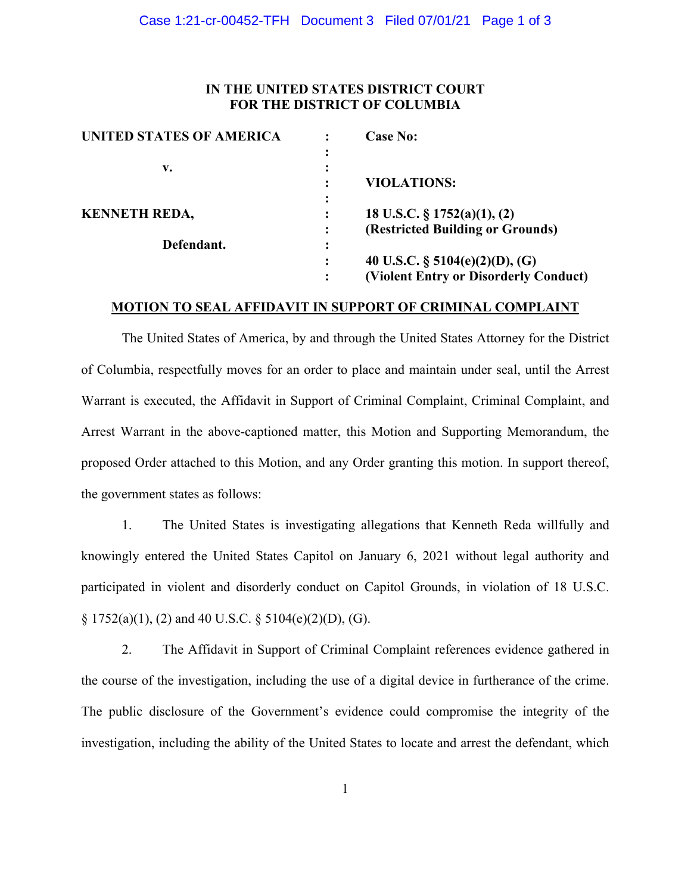### **IN THE UNITED STATES DISTRICT COURT FOR THE DISTRICT OF COLUMBIA**

| <b>UNITED STATES OF AMERICA</b> |   | <b>Case No:</b>                       |
|---------------------------------|---|---------------------------------------|
|                                 |   |                                       |
| v.                              |   |                                       |
|                                 |   | <b>VIOLATIONS:</b>                    |
|                                 |   |                                       |
| <b>KENNETH REDA,</b>            |   | 18 U.S.C. $\S 1752(a)(1), (2)$        |
|                                 |   | (Restricted Building or Grounds)      |
| Defendant.                      | ٠ |                                       |
|                                 |   | 40 U.S.C. $\S$ 5104(e)(2)(D), (G)     |
|                                 |   | (Violent Entry or Disorderly Conduct) |

#### **MOTION TO SEAL AFFIDAVIT IN SUPPORT OF CRIMINAL COMPLAINT**

The United States of America, by and through the United States Attorney for the District of Columbia, respectfully moves for an order to place and maintain under seal, until the Arrest Warrant is executed, the Affidavit in Support of Criminal Complaint, Criminal Complaint, and Arrest Warrant in the above-captioned matter, this Motion and Supporting Memorandum, the proposed Order attached to this Motion, and any Order granting this motion. In support thereof, the government states as follows:

1. The United States is investigating allegations that Kenneth Reda willfully and knowingly entered the United States Capitol on January 6, 2021 without legal authority and participated in violent and disorderly conduct on Capitol Grounds, in violation of 18 U.S.C.  $\S 1752(a)(1)$ , (2) and 40 U.S.C.  $\S 5104(e)(2)(D)$ , (G).

2. The Affidavit in Support of Criminal Complaint references evidence gathered in the course of the investigation, including the use of a digital device in furtherance of the crime. The public disclosure of the Government's evidence could compromise the integrity of the investigation, including the ability of the United States to locate and arrest the defendant, which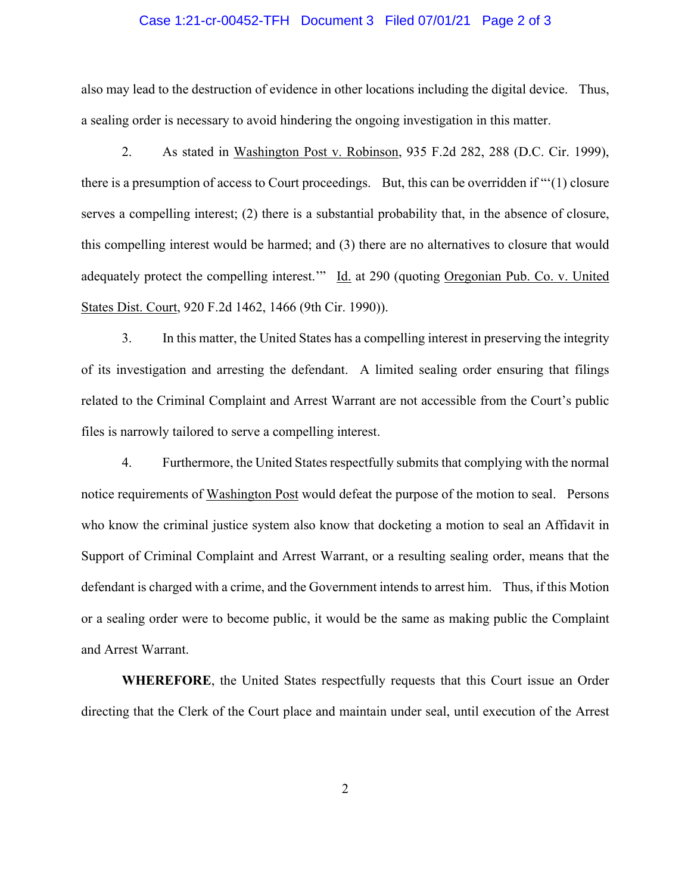#### Case 1:21-cr-00452-TFH Document 3 Filed 07/01/21 Page 2 of 3

also may lead to the destruction of evidence in other locations including the digital device. Thus, a sealing order is necessary to avoid hindering the ongoing investigation in this matter.

 2. As stated in Washington Post v. Robinson, 935 F.2d 282, 288 (D.C. Cir. 1999), there is a presumption of access to Court proceedings. But, this can be overridden if "'(1) closure serves a compelling interest; (2) there is a substantial probability that, in the absence of closure, this compelling interest would be harmed; and (3) there are no alternatives to closure that would adequately protect the compelling interest.'" Id. at 290 (quoting Oregonian Pub. Co. v. United States Dist. Court, 920 F.2d 1462, 1466 (9th Cir. 1990)).

 3. In this matter, the United States has a compelling interest in preserving the integrity of its investigation and arresting the defendant. A limited sealing order ensuring that filings related to the Criminal Complaint and Arrest Warrant are not accessible from the Court's public files is narrowly tailored to serve a compelling interest.

 4. Furthermore, the United States respectfully submits that complying with the normal notice requirements of Washington Post would defeat the purpose of the motion to seal. Persons who know the criminal justice system also know that docketing a motion to seal an Affidavit in Support of Criminal Complaint and Arrest Warrant, or a resulting sealing order, means that the defendant is charged with a crime, and the Government intends to arrest him. Thus, if this Motion or a sealing order were to become public, it would be the same as making public the Complaint and Arrest Warrant.

**WHEREFORE**, the United States respectfully requests that this Court issue an Order directing that the Clerk of the Court place and maintain under seal, until execution of the Arrest

2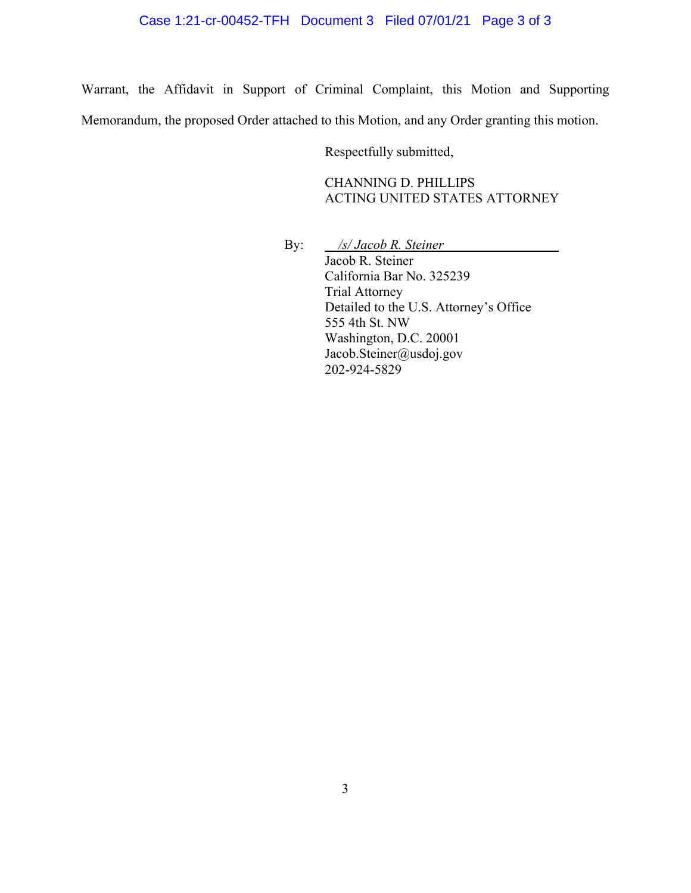# Case 1:21-cr-00452-TFH Document 3 Filed 07/01/21 Page 3 of 3

Warrant, the Affidavit in Support of Criminal Complaint, this Motion and Supporting Memorandum, the proposed Order attached to this Motion, and any Order granting this motion.

Respectfully submitted,

CHANNING D. PHILLIPS ACTING UNITED STATES ATTORNEY

By:  $\frac{1}{s}$  /s/ Jacob R. Steiner

 Jacob R. Steiner California Bar No. 325239 Trial Attorney Detailed to the U.S. Attorney's Office 555 4th St. NW Washington, D.C. 20001 Jacob.Steiner@usdoj.gov 202-924-5829